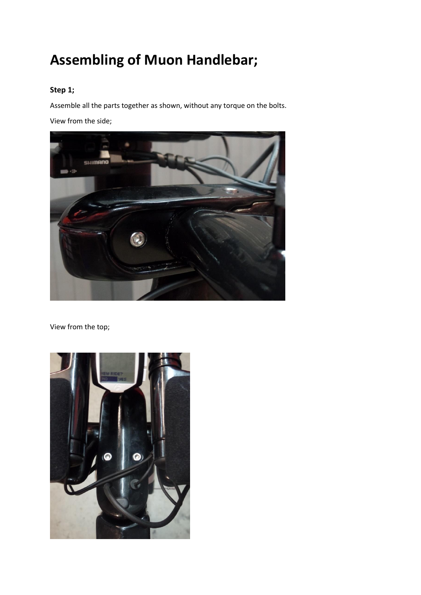# **Assembling of Muon Handlebar;**

#### **Step 1;**

Assemble all the parts together as shown, without any torque on the bolts. View from the side;



View from the top;

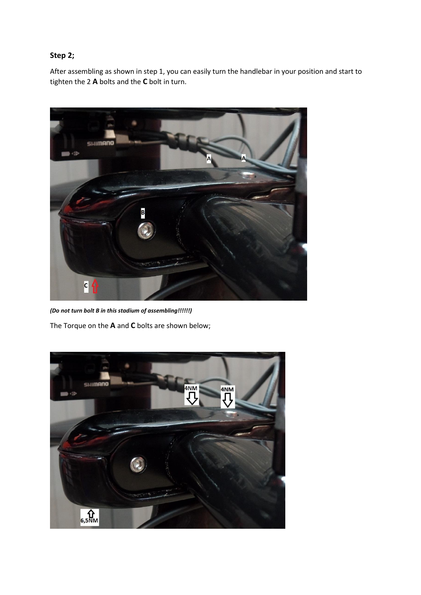### **Step 2;**

After assembling as shown in step 1, you can easily turn the handlebar in your position and start to tighten the 2 **A** bolts and the **C** bolt in turn.



*(Do not turn bolt B in this stadium of assembling!!!!!!)* The Torque on the **A** and **C** bolts are shown below;

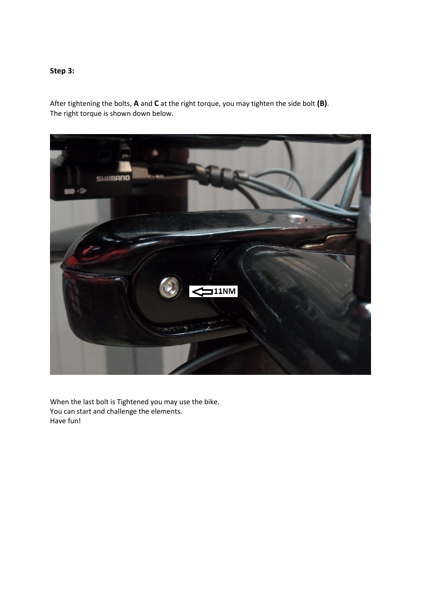## **Step 3:**

After tightening the bolts, **A** and **C** at the right torque, you may tighten the side bolt **(B)**. The right torque is shown down below.



When the last bolt is Tightened you may use the bike. You can start and challenge the elements. Have fun!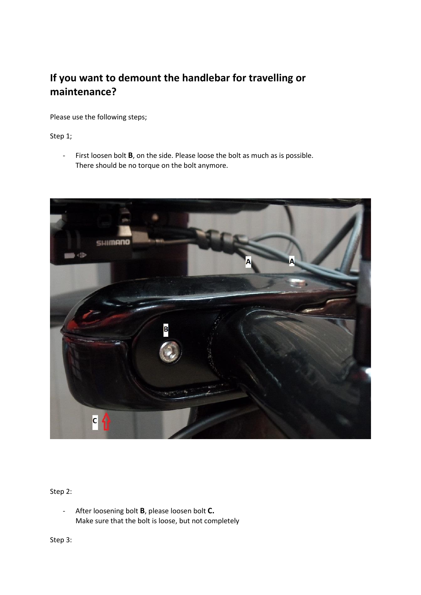# **If you want to demount the handlebar for travelling or maintenance?**

Please use the following steps;

#### Step 1;

- First loosen bolt **B**, on the side. Please loose the bolt as much as is possible. There should be no torque on the bolt anymore.



#### Step 2:

- After loosening bolt **B**, please loosen bolt **C.** Make sure that the bolt is loose, but not completely

Step 3: